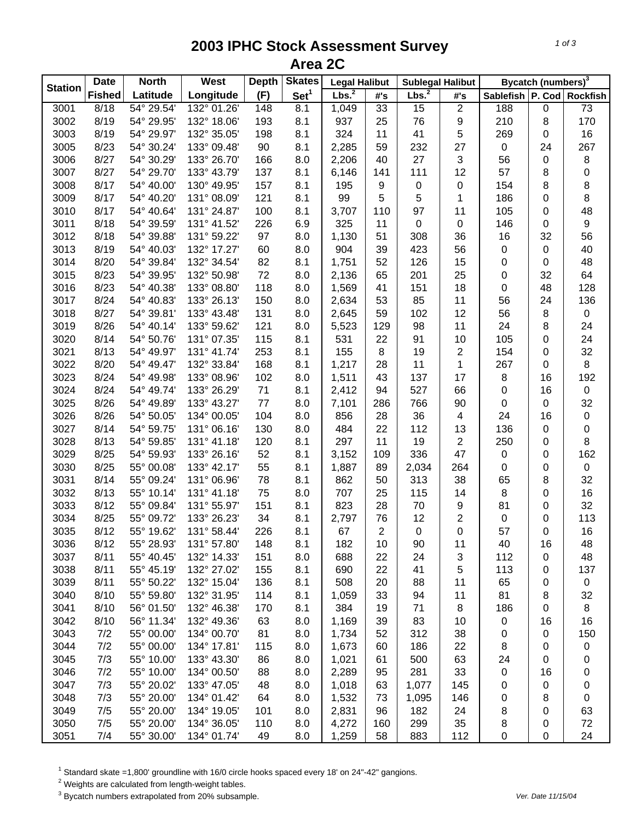## **2003 IPHC Stock Assessment Survey Area 2C**

|                | <b>North</b><br><b>Date</b> |            | <b>West</b> | <b>Depth</b> | <b>Skates</b>    | <b>Legal Halibut</b> |                | <b>Sublegal Halibut</b> |                | Bycatch (numbers) <sup>3</sup> |           |                  |
|----------------|-----------------------------|------------|-------------|--------------|------------------|----------------------|----------------|-------------------------|----------------|--------------------------------|-----------|------------------|
| <b>Station</b> | <b>Fished</b>               | Latitude   | Longitude   | (F)          | Set <sup>1</sup> | Lbs. <sup>2</sup>    | #'s            | Lbs. <sup>2</sup>       | #'s            | Sablefish P. Cod               |           | <b>Rockfish</b>  |
| 3001           | 8/18                        | 54° 29.54' | 132° 01.26' | 148          | 8.1              | 1,049                | 33             | 15                      | $\overline{2}$ | 188                            | $\pmb{0}$ | $\overline{73}$  |
| 3002           | 8/19                        | 54° 29.95' | 132° 18.06' | 193          | 8.1              | 937                  | 25             | 76                      | 9              | 210                            | 8         | 170              |
| 3003           | 8/19                        | 54° 29.97' | 132° 35.05' | 198          | 8.1              | 324                  | 11             | 41                      | 5              | 269                            | 0         | 16               |
| 3005           | 8/23                        | 54° 30.24' | 133° 09.48' | 90           | 8.1              | 2,285                | 59             | 232                     | 27             | $\mathbf 0$                    | 24        | 267              |
| 3006           | 8/27                        | 54° 30.29' | 133° 26.70' | 166          | 8.0              | 2,206                | 40             | 27                      | 3              | 56                             | 0         | $\,8\,$          |
| 3007           | 8/27                        | 54° 29.70' | 133° 43.79' | 137          | 8.1              | 6,146                | 141            | 111                     | 12             | 57                             | 8         | 0                |
| 3008           | 8/17                        | 54° 40.00' | 130° 49.95' | 157          | 8.1              | 195                  | 9              | 0                       | 0              | 154                            | 8         | 8                |
| 3009           | 8/17                        | 54° 40.20' | 131° 08.09' | 121          | 8.1              | 99                   | 5              | 5                       | 1              | 186                            | 0         | 8                |
| 3010           | 8/17                        | 54° 40.64' | 131° 24.87' | 100          | 8.1              | 3,707                | 110            | 97                      | 11             | 105                            | 0         | 48               |
| 3011           | 8/18                        | 54° 39.59' | 131° 41.52' | 226          | 6.9              | 325                  | 11             | $\mathbf 0$             | 0              | 146                            | 0         | $\boldsymbol{9}$ |
| 3012           | 8/18                        | 54° 39.88' | 131° 59.22' | 97           | 8.0              | 1,130                | 51             | 308                     | 36             | 16                             | 32        | 56               |
| 3013           | 8/19                        | 54° 40.03' | 132° 17.27' | 60           | 8.0              | 904                  | 39             | 423                     | 56             | $\pmb{0}$                      | 0         | 40               |
| 3014           | 8/20                        | 54° 39.84' | 132° 34.54' | 82           | 8.1              | 1,751                | 52             | 126                     | 15             | 0                              | 0         | 48               |
| 3015           | 8/23                        | 54° 39.95' | 132° 50.98' | 72           | 8.0              | 2,136                | 65             | 201                     | 25             | 0                              | 32        | 64               |
| 3016           | 8/23                        | 54° 40.38' | 133° 08.80' | 118          | 8.0              | 1,569                | 41             | 151                     | 18             | 0                              | 48        | 128              |
| 3017           | 8/24                        | 54° 40.83' | 133° 26.13' | 150          | 8.0              | 2,634                | 53             | 85                      | 11             | 56                             | 24        | 136              |
| 3018           | 8/27                        | 54° 39.81' | 133° 43.48' | 131          | 8.0              | 2,645                | 59             | 102                     | 12             | 56                             | 8         | $\pmb{0}$        |
| 3019           | 8/26                        | 54° 40.14' | 133° 59.62' | 121          | 8.0              | 5,523                | 129            | 98                      | 11             | 24                             | 8         | 24               |
| 3020           | 8/14                        | 54° 50.76' | 131° 07.35' | 115          | 8.1              | 531                  | 22             | 91                      | 10             | 105                            | 0         | 24               |
| 3021           | 8/13                        | 54° 49.97' | 131° 41.74' | 253          | 8.1              | 155                  | 8              | 19                      | $\overline{c}$ | 154                            | 0         | 32               |
| 3022           | 8/20                        | 54° 49.47' | 132° 33.84' | 168          | 8.1              | 1,217                | 28             | 11                      | $\mathbf{1}$   | 267                            | 0         | 8                |
| 3023           | 8/24                        | 54° 49.98' | 133° 08.96' | 102          | 8.0              | 1,511                | 43             | 137                     | 17             | $\bf 8$                        | 16        | 192              |
| 3024           | 8/24                        | 54° 49.74' | 133° 26.29' | 71           | 8.1              | 2,412                | 94             | 527                     | 66             | $\pmb{0}$                      | 16        | $\pmb{0}$        |
| 3025           | 8/26                        | 54° 49.89' | 133° 43.27' | 77           | 8.0              | 7,101                | 286            | 766                     | 90             | $\pmb{0}$                      | 0         | 32               |
| 3026           | 8/26                        | 54° 50.05' | 134° 00.05' | 104          | 8.0              | 856                  | 28             | 36                      | 4              | 24                             | 16        | $\pmb{0}$        |
| 3027           | 8/14                        | 54° 59.75' | 131° 06.16' | 130          | 8.0              | 484                  | 22             | 112                     | 13             | 136                            | 0         | $\mathbf 0$      |
| 3028           | 8/13                        | 54° 59.85' | 131° 41.18' | 120          | 8.1              | 297                  | 11             | 19                      | $\overline{2}$ | 250                            | 0         | 8                |
| 3029           | 8/25                        | 54° 59.93' | 133° 26.16' | 52           | 8.1              | 3,152                | 109            | 336                     | 47             | $\pmb{0}$                      | 0         | 162              |
| 3030           | 8/25                        | 55° 00.08' | 133° 42.17' | 55           | 8.1              | 1,887                | 89             | 2,034                   | 264            | 0                              | 0         | $\pmb{0}$        |
| 3031           | 8/14                        | 55° 09.24' | 131° 06.96' | 78           | 8.1              | 862                  | 50             | 313                     | 38             | 65                             | 8         | 32               |
| 3032           | 8/13                        | 55° 10.14' | 131° 41.18' | 75           | 8.0              | 707                  | 25             | 115                     | 14             | 8                              | 0         | 16               |
| 3033           | 8/12                        | 55° 09.84' | 131° 55.97' | 151          | 8.1              | 823                  | 28             | 70                      | 9              | 81                             | 0         | 32               |
| 3034           | 8/25                        | 55° 09.72' | 133° 26.23' | 34           | 8.1              | 2,797                | 76             | 12                      | 2              | 0                              | 0         | 113              |
| 3035           | 8/12                        | 55° 19.62' | 131° 58.44' | 226          | 8.1              | 67                   | $\overline{2}$ | $\mathbf 0$             | 0              | 57                             | 0         | 16               |
| 3036           | 8/12                        | 55° 28.93' | 131° 57.80' | 148          | 8.1              | 182                  | 10             | 90                      | 11             | 40                             | 16        | 48               |
| 3037           | 8/11                        | 55° 40.45' | 132° 14.33' | 151          | 8.0              | 688                  | 22             | 24                      | 3              | 112                            | 0         | 48               |
| 3038           | 8/11                        | 55° 45.19' | 132° 27.02' | 155          | 8.1              | 690                  | 22             | 41                      | 5              | 113                            | 0         | 137              |
| 3039           | 8/11                        | 55° 50.22' | 132° 15.04' | 136          | 8.1              | 508                  | 20             | 88                      | 11             | 65                             | 0         | 0                |
| 3040           | 8/10                        | 55° 59.80' | 132° 31.95' | 114          | 8.1              | 1,059                | 33             | 94                      | 11             | 81                             | 8         | 32               |
| 3041           | 8/10                        | 56° 01.50' | 132° 46.38' | 170          | 8.1              | 384                  | 19             | 71                      | 8              | 186                            | 0         | 8                |
| 3042           | 8/10                        | 56° 11.34' | 132° 49.36' | 63           | 8.0              | 1,169                | 39             | 83                      | 10             | 0                              | 16        | 16               |
| 3043           | 7/2                         | 55° 00.00' | 134° 00.70' | 81           | 8.0              | 1,734                | 52             | 312                     | 38             | 0                              | 0         | 150              |
| 3044           | 7/2                         | 55° 00.00' | 134° 17.81' | 115          | 8.0              | 1,673                | 60             | 186                     | 22             | 8                              | 0         | 0                |
| 3045           | 7/3                         | 55° 10.00' | 133° 43.30' | 86           | 8.0              | 1,021                | 61             | 500                     | 63             | 24                             | 0         | 0                |
| 3046           | 7/2                         | 55° 10.00' | 134° 00.50' | 88           | 8.0              | 2,289                | 95             | 281                     | 33             | 0                              | 16        | 0                |
| 3047           | 7/3                         | 55° 20.02' | 133° 47.05' | 48           | 8.0              | 1,018                | 63             | 1,077                   | 145            | 0                              | 0         | 0                |
| 3048           | 7/3                         | 55° 20.00' | 134° 01.42' | 64           | 8.0              | 1,532                | 73             | 1,095                   | 146            | 0                              | 8         | 0                |
| 3049           | 7/5                         | 55° 20.00' | 134° 19.05' | 101          | 8.0              | 2,831                | 96             | 182                     | 24             | 8                              | 0         | 63               |
| 3050           | 7/5                         | 55° 20.00' | 134° 36.05' | 110          | 8.0              | 4,272                | 160            | 299                     | 35             | 8                              | 0         | 72               |
| 3051           | 7/4                         | 55° 30.00' | 134° 01.74' | 49           | 8.0              | 1,259                | 58             | 883                     | 112            | $\pmb{0}$                      | 0         | 24               |

<sup>1</sup> Standard skate =1,800' groundline with 16/0 circle hooks spaced every 18' on 24"-42" gangions.<br><sup>2</sup> Weights are calculated from length-weight tables.<br><sup>3</sup> Bycatch numbers extrapolated from 20% subsample.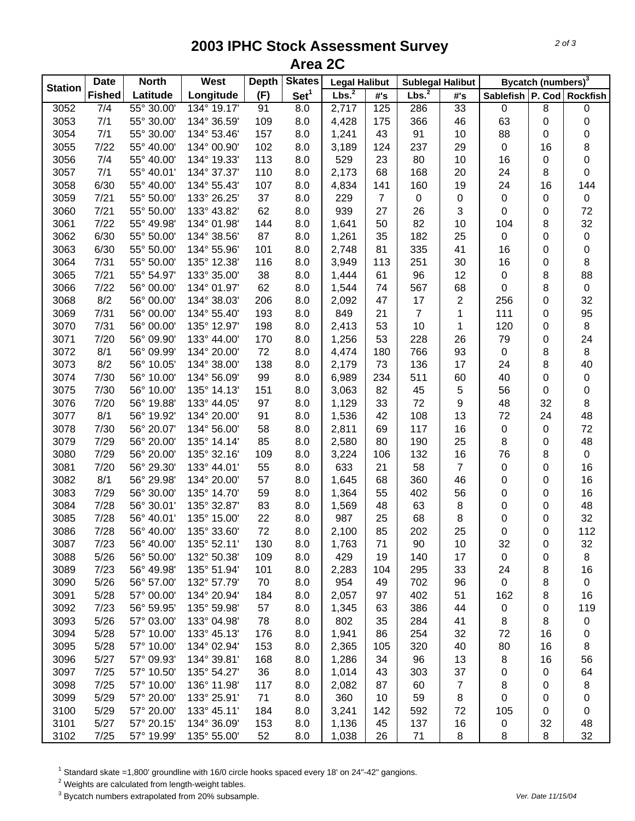## **2003 IPHC Stock Assessment Survey Area 2C**

|                | <b>Date</b>   | <b>North</b> | West        | <b>Depth</b> | <b>Skates</b>    | <b>Legal Halibut</b> |                | <b>Sublegal Halibut</b> |                  | Bycatch (numbers) <sup>3</sup> |                |                           |
|----------------|---------------|--------------|-------------|--------------|------------------|----------------------|----------------|-------------------------|------------------|--------------------------------|----------------|---------------------------|
| <b>Station</b> | <b>Fished</b> | Latitude     | Longitude   | (F)          | Set <sup>1</sup> | Lbs. <sup>2</sup>    | #'s            | Lbs. <sup>2</sup>       | #'s              |                                |                | Sablefish P. Cod Rockfish |
| 3052           | 7/4           | 55° 30.00'   | 134° 19.17' | 91           | 8.0              | 2,717                | 125            | 286                     | 33               | $\pmb{0}$                      | $\overline{8}$ | 0                         |
| 3053           | 7/1           | 55° 30.00'   | 134° 36.59' | 109          | 8.0              | 4,428                | 175            | 366                     | 46               | 63                             | $\pmb{0}$      | 0                         |
| 3054           | 7/1           | 55° 30.00'   | 134° 53.46' | 157          | 8.0              | 1,241                | 43             | 91                      | 10               | 88                             | 0              | 0                         |
| 3055           | 7/22          | 55° 40.00'   | 134° 00.90' | 102          | 8.0              | 3,189                | 124            | 237                     | 29               | $\mathbf 0$                    | 16             | 8                         |
| 3056           | 7/4           | 55° 40.00'   | 134° 19.33' | 113          | 8.0              | 529                  | 23             | 80                      | 10               | 16                             | 0              | $\pmb{0}$                 |
| 3057           | 7/1           | 55° 40.01'   | 134° 37.37' | 110          | 8.0              | 2,173                | 68             | 168                     | 20               | 24                             | 8              | $\boldsymbol{0}$          |
| 3058           | 6/30          | 55° 40.00'   | 134° 55.43' | 107          | 8.0              | 4,834                | 141            | 160                     | 19               | 24                             | 16             | 144                       |
| 3059           | 7/21          | 55° 50.00'   | 133° 26.25' | 37           | 8.0              | 229                  | $\overline{7}$ | $\mathbf 0$             | 0                | $\mathbf 0$                    | 0              | $\mathbf 0$               |
| 3060           | 7/21          | 55° 50.00'   | 133° 43.82' | 62           | 8.0              | 939                  | 27             | 26                      | 3                | 0                              | 0              | 72                        |
| 3061           | 7/22          | 55° 49.98'   | 134° 01.98' | 144          | 8.0              | 1,641                | 50             | 82                      | 10               | 104                            | 8              | 32                        |
| 3062           | 6/30          | 55° 50.00'   | 134° 38.56' | 87           | 8.0              | 1,261                | 35             | 182                     | 25               | $\pmb{0}$                      | 0              | $\pmb{0}$                 |
| 3063           | 6/30          | 55° 50.00'   | 134° 55.96' | 101          | 8.0              | 2,748                | 81             | 335                     | 41               | 16                             | 0              | 0                         |
| 3064           | 7/31          | 55° 50.00'   | 135° 12.38' | 116          | 8.0              | 3,949                | 113            | 251                     | 30               | 16                             | 0              | 8                         |
| 3065           | 7/21          | 55° 54.97'   | 133° 35.00' | 38           | 8.0              | 1,444                | 61             | 96                      | 12               | 0                              | 8              | 88                        |
| 3066           | 7/22          | 56° 00.00'   | 134° 01.97' | 62           | 8.0              | 1,544                | 74             | 567                     | 68               | 0                              | 8              | $\pmb{0}$                 |
| 3068           | 8/2           | 56° 00.00'   | 134° 38.03' | 206          | 8.0              | 2,092                | 47             | 17                      | 2                | 256                            | 0              | 32                        |
| 3069           | 7/31          | 56° 00.00'   | 134° 55.40' | 193          | 8.0              | 849                  | 21             | $\overline{7}$          | 1                | 111                            | 0              | 95                        |
| 3070           | 7/31          | 56° 00.00'   | 135° 12.97' | 198          | 8.0              | 2,413                | 53             | 10                      | 1                | 120                            | 0              | 8                         |
| 3071           | 7/20          | 56° 09.90'   | 133° 44.00' | 170          | 8.0              | 1,256                | 53             | 228                     | 26               | 79                             | 0              | 24                        |
| 3072           | 8/1           | 56° 09.99'   | 134° 20.00' | 72           | 8.0              | 4,474                | 180            | 766                     | 93               | $\mathbf 0$                    | 8              | 8                         |
| 3073           | 8/2           | 56° 10.05'   | 134° 38.00' | 138          | 8.0              | 2,179                | 73             | 136                     | 17               | 24                             | 8              | 40                        |
| 3074           | 7/30          | 56° 10.00'   | 134° 56.09' | 99           | 8.0              | 6,989                | 234            | 511                     | 60               | 40                             | 0              | $\pmb{0}$                 |
| 3075           | 7/30          | 56° 10.00'   | 135° 14.13' | 151          | 8.0              | 3,063                | 82             | 45                      | 5                | 56                             | $\pmb{0}$      | 0                         |
| 3076           | 7/20          | 56° 19.88'   | 133° 44.05' | 97           | 8.0              | 1,129                | 33             | 72                      | $\boldsymbol{9}$ | 48                             | 32             | 8                         |
| 3077           | 8/1           | 56° 19.92'   | 134° 20.00' | 91           | 8.0              | 1,536                | 42             | 108                     | 13               | 72                             | 24             | 48                        |
| 3078           | 7/30          | 56° 20.07'   | 134° 56.00' | 58           | 8.0              | 2,811                | 69             | 117                     | 16               | $\pmb{0}$                      | $\pmb{0}$      | 72                        |
| 3079           | 7/29          | 56° 20.00'   | 135° 14.14' | 85           | 8.0              | 2,580                | 80             | 190                     | 25               | $\, 8$                         | 0              | 48                        |
| 3080           | 7/29          | 56° 20.00'   | 135° 32.16' | 109          | 8.0              | 3,224                | 106            | 132                     | 16               | 76                             | 8              | $\mathbf 0$               |
| 3081           | 7/20          | 56° 29.30'   | 133° 44.01' | 55           | 8.0              | 633                  | 21             | 58                      | $\overline{7}$   | $\pmb{0}$                      | 0              | 16                        |
| 3082           | 8/1           | 56° 29.98'   | 134° 20.00' | 57           | 8.0              | 1,645                | 68             | 360                     | 46               | 0                              | 0              | 16                        |
| 3083           | 7/29          | 56° 30.00'   | 135° 14.70' | 59           | 8.0              | 1,364                | 55             | 402                     | 56               | 0                              | 0              | 16                        |
| 3084           | 7/28          | 56° 30.01'   | 135° 32.87' | 83           | 8.0              | 1,569                | 48             | 63                      | 8                | 0                              | 0              | 48                        |
| 3085           | 7/28          | 56° 40.01'   | 135° 15.00' | 22           | 8.0              | 987                  | 25             | 68                      | 8                | 0                              | 0              | 32                        |
| 3086           | 7/28          | 56° 40.00'   | 135° 33.60' | 72           | 8.0              | 2,100                | 85             | 202                     | 25               | 0                              | 0              | 112                       |
| 3087           | 7/23          | 56° 40.00'   | 135° 52.11' | 130          | 8.0              | 1,763                | 71             | 90                      | 10               | 32                             | 0              | 32                        |
| 3088           | 5/26          | 56° 50.00'   | 132° 50.38' | 109          | 8.0              | 429                  | 19             | 140                     | 17               | $\pmb{0}$                      | 0              | 8                         |
| 3089           | 7/23          | 56° 49.98'   | 135° 51.94' | 101          | 8.0              | 2,283                | 104            | 295                     | 33               | 24                             | 8              | 16                        |
| 3090           | 5/26          | 56° 57.00'   | 132° 57.79' | 70           | 8.0              | 954                  | 49             | 702                     | 96               | 0                              | 8              | 0                         |
| 3091           | 5/28          | 57° 00.00'   | 134° 20.94' | 184          | 8.0              | 2,057                | 97             | 402                     | 51               | 162                            | 8              | 16                        |
| 3092           | 7/23          | 56° 59.95'   | 135° 59.98' | 57           | 8.0              | 1,345                | 63             | 386                     | 44               | 0                              | 0              | 119                       |
| 3093           | 5/26          | 57° 03.00'   | 133° 04.98' | 78           | 8.0              | 802                  | 35             | 284                     | 41               | 8                              | 8              | $\pmb{0}$                 |
| 3094           | 5/28          | 57° 10.00'   | 133° 45.13' | 176          | 8.0              | 1,941                | 86             | 254                     | 32               | 72                             | 16             | 0                         |
| 3095           | 5/28          | 57° 10.00'   | 134° 02.94' | 153          | 8.0              | 2,365                | 105            | 320                     | 40               | 80                             | 16             | 8                         |
| 3096           | 5/27          | 57° 09.93'   | 134° 39.81' | 168          | 8.0              | 1,286                | 34             | 96                      | 13               | 8                              | 16             | 56                        |
| 3097           | 7/25          | 57° 10.50'   | 135° 54.27' | 36           | 8.0              | 1,014                | 43             | 303                     | 37               | 0                              | 0              | 64                        |
| 3098           | 7/25          | 57° 10.00'   | 136° 11.98' | 117          | 8.0              | 2,082                | 87             | 60                      | $\overline{7}$   | 8                              | 0              | 8                         |
| 3099           | 5/29          | 57° 20.00'   | 133° 25.91' | 71           | 8.0              | 360                  | 10             | 59                      | 8                | 0                              | 0              | 0                         |
| 3100           | 5/29          | 57° 20.00'   | 133° 45.11' | 184          | 8.0              | 3,241                | 142            | 592                     | 72               | 105                            | 0              | 0                         |
| 3101           | 5/27          | 57° 20.15'   | 134° 36.09' | 153          | 8.0              | 1,136                | 45             | 137                     | 16               | 0                              | 32             | 48                        |
| 3102           | 7/25          | 57° 19.99'   | 135° 55.00' | 52           | 8.0              | 1,038                | 26             | 71                      | 8                | 8                              | 8              | 32                        |

 $^1$  Standard skate =1,800' groundline with 16/0 circle hooks spaced every 18' on 24"-42" gangions.<br><sup>2</sup> Weights are calculated from length-weight tables.

3 Bycatch numbers extrapolated from 20% subsample. *Ver. Date 11/15/04*